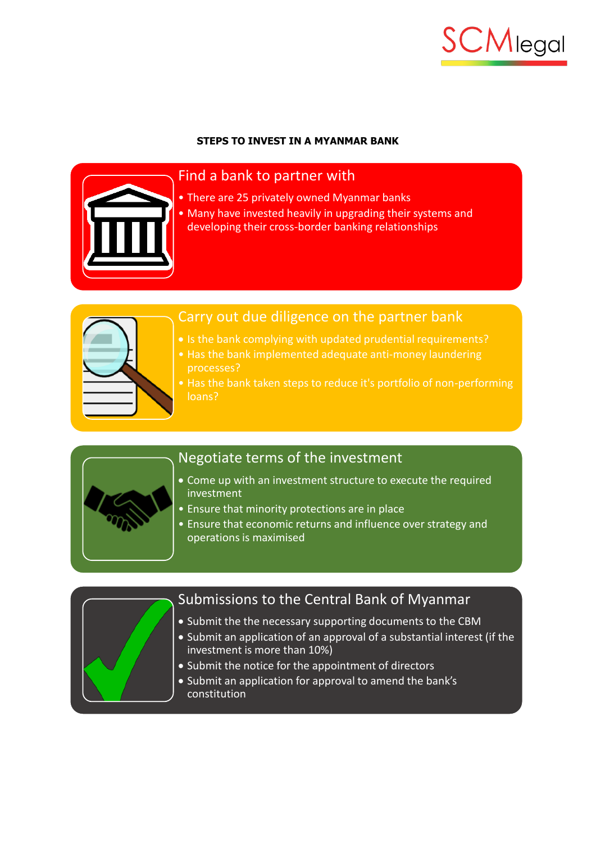

# **STEPS TO INVEST IN A MYANMAR BANK**



# Find a bank to partner with

- There are 25 privately owned Myanmar banks
- Many have invested heavily in upgrading their systems and developing their cross-border banking relationships



# Carry out due diligence on the partner bank

- Is the bank complying with updated prudential requirements?
- Has the bank implemented adequate anti-money laundering processes?
- Has the bank taken steps to reduce it's portfolio of non-performing loans?



# Negotiate terms of the investment

- Come up with an investment structure to execute the required investment
- Ensure that minority protections are in place
- Ensure that economic returns and influence over strategy and operations is maximised



# Submissions to the Central Bank of Myanmar

- Submit the the necessary supporting documents to the CBM
- Submit an application of an approval of a substantial interest (if the investment is more than 10%)
- Submit the notice for the appointment of directors
- Submit an application for approval to amend the bank's constitution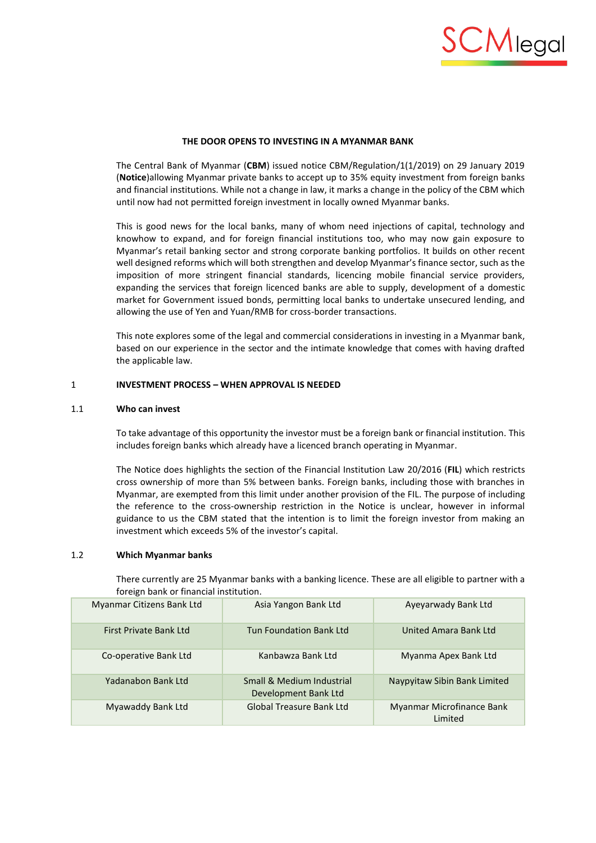

## **THE DOOR OPENS TO INVESTING IN A MYANMAR BANK**

The Central Bank of Myanmar (**CBM**) issued notice CBM/Regulation/1(1/2019) on 29 January 2019 (**Notice**)allowing Myanmar private banks to accept up to 35% equity investment from foreign banks and financial institutions. While not a change in law, it marks a change in the policy of the CBM which until now had not permitted foreign investment in locally owned Myanmar banks.

This is good news for the local banks, many of whom need injections of capital, technology and knowhow to expand, and for foreign financial institutions too, who may now gain exposure to Myanmar's retail banking sector and strong corporate banking portfolios. It builds on other recent well designed reforms which will both strengthen and develop Myanmar's finance sector, such as the imposition of more stringent financial standards, licencing mobile financial service providers, expanding the services that foreign licenced banks are able to supply, development of a domestic market for Government issued bonds, permitting local banks to undertake unsecured lending, and allowing the use of Yen and Yuan/RMB for cross-border transactions.

This note explores some of the legal and commercial considerations in investing in a Myanmar bank, based on our experience in the sector and the intimate knowledge that comes with having drafted the applicable law.

#### 1 **INVESTMENT PROCESS – WHEN APPROVAL IS NEEDED**

#### 1.1 **Who can invest**

To take advantage of this opportunity the investor must be a foreign bank or financial institution. This includes foreign banks which already have a licenced branch operating in Myanmar.

The Notice does highlights the section of the Financial Institution Law 20/2016 (**FIL**) which restricts cross ownership of more than 5% between banks. Foreign banks, including those with branches in Myanmar, are exempted from this limit under another provision of the FIL. The purpose of including the reference to the cross-ownership restriction in the Notice is unclear, however in informal guidance to us the CBM stated that the intention is to limit the foreign investor from making an investment which exceeds 5% of the investor's capital.

# 1.2 **Which Myanmar banks**

There currently are 25 Myanmar banks with a banking licence. These are all eligible to partner with a foreign bank or financial institution.

| Myanmar Citizens Bank Ltd | Asia Yangon Bank Ltd                              | Ayeyarwady Bank Ltd                  |
|---------------------------|---------------------------------------------------|--------------------------------------|
| First Private Bank Ltd    | <b>Tun Foundation Bank Ltd</b>                    | United Amara Bank Ltd                |
| Co-operative Bank Ltd     | Kanbawza Bank Ltd                                 | Myanma Apex Bank Ltd                 |
| Yadanabon Bank Ltd        | Small & Medium Industrial<br>Development Bank Ltd | Naypyitaw Sibin Bank Limited         |
| Myawaddy Bank Ltd         | <b>Global Treasure Bank Ltd</b>                   | Myanmar Microfinance Bank<br>Limited |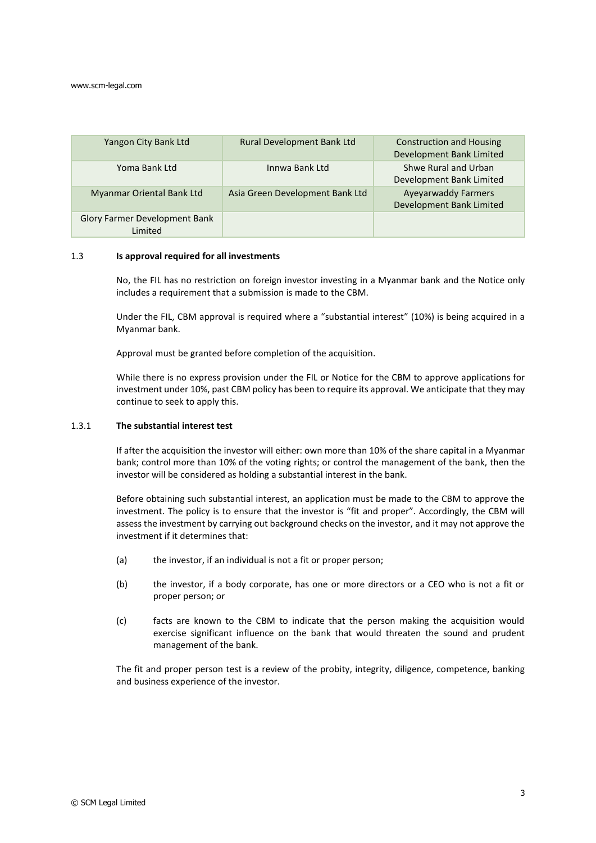#### www.scm-legal.com

| Yangon City Bank Ltd                      | <b>Rural Development Bank Ltd</b> | <b>Construction and Housing</b><br>Development Bank Limited |
|-------------------------------------------|-----------------------------------|-------------------------------------------------------------|
| Yoma Bank Ltd                             | Innwa Bank Ltd                    | Shwe Rural and Urban<br>Development Bank Limited            |
| Myanmar Oriental Bank Ltd                 | Asia Green Development Bank Ltd   | <b>Ayeyarwaddy Farmers</b><br>Development Bank Limited      |
| Glory Farmer Development Bank<br>I imited |                                   |                                                             |

#### 1.3 **Is approval required for all investments**

No, the FIL has no restriction on foreign investor investing in a Myanmar bank and the Notice only includes a requirement that a submission is made to the CBM.

Under the FIL, CBM approval is required where a "substantial interest" (10%) is being acquired in a Myanmar bank.

Approval must be granted before completion of the acquisition.

While there is no express provision under the FIL or Notice for the CBM to approve applications for investment under 10%, past CBM policy has been to require its approval. We anticipate that they may continue to seek to apply this.

# 1.3.1 **The substantial interest test**

If after the acquisition the investor will either: own more than 10% of the share capital in a Myanmar bank; control more than 10% of the voting rights; or control the management of the bank, then the investor will be considered as holding a substantial interest in the bank.

Before obtaining such substantial interest, an application must be made to the CBM to approve the investment. The policy is to ensure that the investor is "fit and proper". Accordingly, the CBM will assess the investment by carrying out background checks on the investor, and it may not approve the investment if it determines that:

- (a) the investor, if an individual is not a fit or proper person;
- (b) the investor, if a body corporate, has one or more directors or a CEO who is not a fit or proper person; or
- (c) facts are known to the CBM to indicate that the person making the acquisition would exercise significant influence on the bank that would threaten the sound and prudent management of the bank.

The fit and proper person test is a review of the probity, integrity, diligence, competence, banking and business experience of the investor.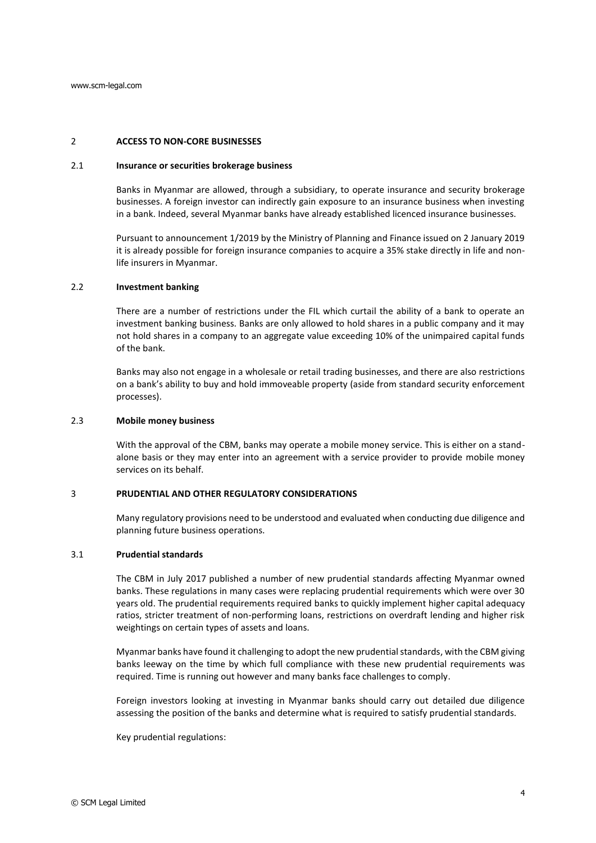## 2 **ACCESS TO NON-CORE BUSINESSES**

#### 2.1 **Insurance or securities brokerage business**

Banks in Myanmar are allowed, through a subsidiary, to operate insurance and security brokerage businesses. A foreign investor can indirectly gain exposure to an insurance business when investing in a bank. Indeed, several Myanmar banks have already established licenced insurance businesses.

Pursuant to announcement 1/2019 by the Ministry of Planning and Finance issued on 2 January 2019 it is already possible for foreign insurance companies to acquire a 35% stake directly in life and nonlife insurers in Myanmar.

#### 2.2 **Investment banking**

There are a number of restrictions under the FIL which curtail the ability of a bank to operate an investment banking business. Banks are only allowed to hold shares in a public company and it may not hold shares in a company to an aggregate value exceeding 10% of the unimpaired capital funds of the bank.

Banks may also not engage in a wholesale or retail trading businesses, and there are also restrictions on a bank's ability to buy and hold immoveable property (aside from standard security enforcement processes).

## 2.3 **Mobile money business**

With the approval of the CBM, banks may operate a mobile money service. This is either on a standalone basis or they may enter into an agreement with a service provider to provide mobile money services on its behalf.

# 3 **PRUDENTIAL AND OTHER REGULATORY CONSIDERATIONS**

Many regulatory provisions need to be understood and evaluated when conducting due diligence and planning future business operations.

# 3.1 **Prudential standards**

The CBM in July 2017 published a number of new prudential standards affecting Myanmar owned banks. These regulations in many cases were replacing prudential requirements which were over 30 years old. The prudential requirements required banks to quickly implement higher capital adequacy ratios, stricter treatment of non-performing loans, restrictions on overdraft lending and higher risk weightings on certain types of assets and loans.

Myanmar banks have found it challenging to adopt the new prudential standards, with the CBM giving banks leeway on the time by which full compliance with these new prudential requirements was required. Time is running out however and many banks face challenges to comply.

Foreign investors looking at investing in Myanmar banks should carry out detailed due diligence assessing the position of the banks and determine what is required to satisfy prudential standards.

Key prudential regulations: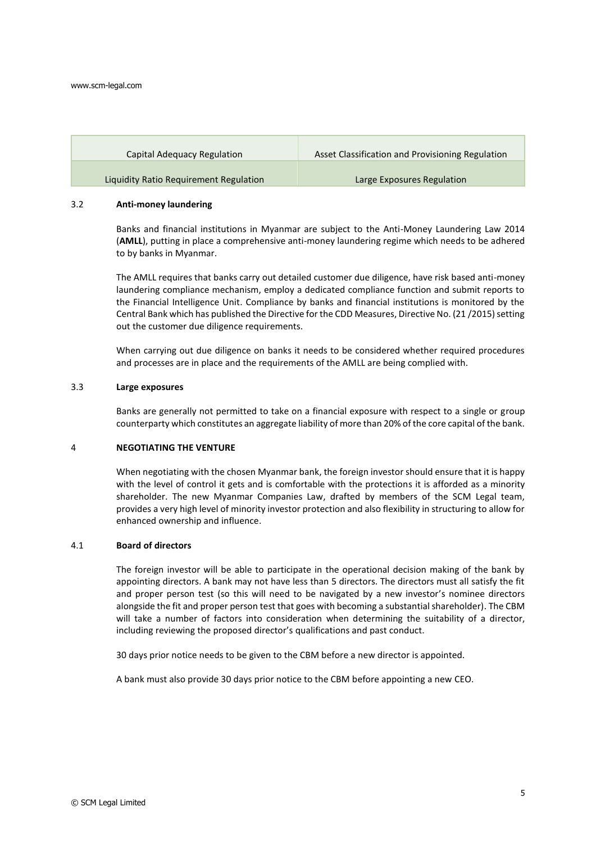#### www.scm-legal.com

| Capital Adequacy Regulation            | Asset Classification and Provisioning Regulation |
|----------------------------------------|--------------------------------------------------|
| Liquidity Ratio Requirement Regulation | Large Exposures Regulation                       |

#### 3.2 **Anti-money laundering**

Banks and financial institutions in Myanmar are subject to the Anti-Money Laundering Law 2014 (**AMLL**), putting in place a comprehensive anti-money laundering regime which needs to be adhered to by banks in Myanmar.

The AMLL requires that banks carry out detailed customer due diligence, have risk based anti-money laundering compliance mechanism, employ a dedicated compliance function and submit reports to the Financial Intelligence Unit. Compliance by banks and financial institutions is monitored by the Central Bank which has published the Directive for the CDD Measures, Directive No. (21 /2015) setting out the customer due diligence requirements.

When carrying out due diligence on banks it needs to be considered whether required procedures and processes are in place and the requirements of the AMLL are being complied with.

#### 3.3 **Large exposures**

Banks are generally not permitted to take on a financial exposure with respect to a single or group counterparty which constitutes an aggregate liability of more than 20% of the core capital of the bank.

# 4 **NEGOTIATING THE VENTURE**

When negotiating with the chosen Myanmar bank, the foreign investor should ensure that it is happy with the level of control it gets and is comfortable with the protections it is afforded as a minority shareholder. The new Myanmar Companies Law, drafted by members of the SCM Legal team, provides a very high level of minority investor protection and also flexibility in structuring to allow for enhanced ownership and influence.

# 4.1 **Board of directors**

The foreign investor will be able to participate in the operational decision making of the bank by appointing directors. A bank may not have less than 5 directors. The directors must all satisfy the fit and proper person test (so this will need to be navigated by a new investor's nominee directors alongside the fit and proper person test that goes with becoming a substantial shareholder). The CBM will take a number of factors into consideration when determining the suitability of a director, including reviewing the proposed director's qualifications and past conduct.

30 days prior notice needs to be given to the CBM before a new director is appointed.

A bank must also provide 30 days prior notice to the CBM before appointing a new CEO.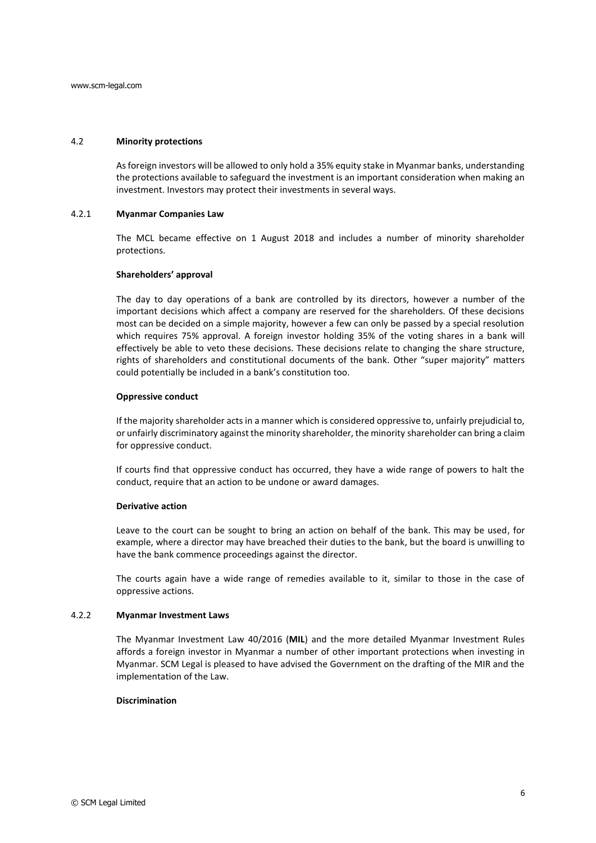## 4.2 **Minority protections**

As foreign investors will be allowed to only hold a 35% equity stake in Myanmar banks, understanding the protections available to safeguard the investment is an important consideration when making an investment. Investors may protect their investments in several ways.

## 4.2.1 **Myanmar Companies Law**

The MCL became effective on 1 August 2018 and includes a number of minority shareholder protections.

#### **Shareholders' approval**

The day to day operations of a bank are controlled by its directors, however a number of the important decisions which affect a company are reserved for the shareholders. Of these decisions most can be decided on a simple majority, however a few can only be passed by a special resolution which requires 75% approval. A foreign investor holding 35% of the voting shares in a bank will effectively be able to veto these decisions. These decisions relate to changing the share structure, rights of shareholders and constitutional documents of the bank. Other "super majority" matters could potentially be included in a bank's constitution too.

#### **Oppressive conduct**

If the majority shareholder acts in a manner which is considered oppressive to, unfairly prejudicial to, or unfairly discriminatory against the minority shareholder, the minority shareholder can bring a claim for oppressive conduct.

If courts find that oppressive conduct has occurred, they have a wide range of powers to halt the conduct, require that an action to be undone or award damages.

## **Derivative action**

Leave to the court can be sought to bring an action on behalf of the bank. This may be used, for example, where a director may have breached their duties to the bank, but the board is unwilling to have the bank commence proceedings against the director.

The courts again have a wide range of remedies available to it, similar to those in the case of oppressive actions.

#### 4.2.2 **Myanmar Investment Laws**

The Myanmar Investment Law 40/2016 (**MIL**) and the more detailed Myanmar Investment Rules affords a foreign investor in Myanmar a number of other important protections when investing in Myanmar. SCM Legal is pleased to have advised the Government on the drafting of the MIR and the implementation of the Law.

# **Discrimination**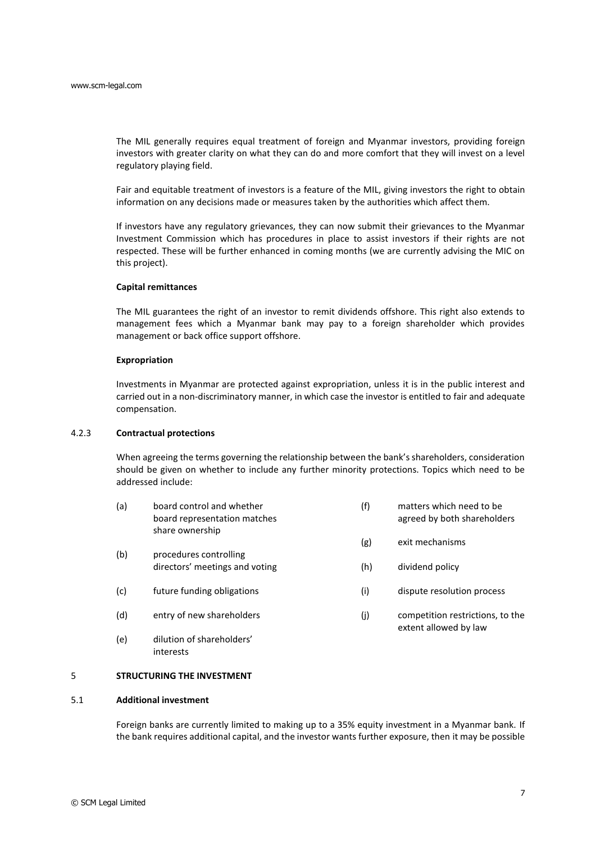The MIL generally requires equal treatment of foreign and Myanmar investors, providing foreign investors with greater clarity on what they can do and more comfort that they will invest on a level regulatory playing field.

Fair and equitable treatment of investors is a feature of the MIL, giving investors the right to obtain information on any decisions made or measures taken by the authorities which affect them.

If investors have any regulatory grievances, they can now submit their grievances to the Myanmar Investment Commission which has procedures in place to assist investors if their rights are not respected. These will be further enhanced in coming months (we are currently advising the MIC on this project).

## **Capital remittances**

The MIL guarantees the right of an investor to remit dividends offshore. This right also extends to management fees which a Myanmar bank may pay to a foreign shareholder which provides management or back office support offshore.

## **Expropriation**

Investments in Myanmar are protected against expropriation, unless it is in the public interest and carried out in a non-discriminatory manner, in which case the investor is entitled to fair and adequate compensation.

# 4.2.3 **Contractual protections**

When agreeing the terms governing the relationship between the bank's shareholders, consideration should be given on whether to include any further minority protections. Topics which need to be addressed include:

(a) board control and whether board representation matches share ownership (f) matters which need to be agreed by both shareholders

(g) exit mechanisms

(h) dividend policy

(i) dispute resolution process

(j) competition restrictions, to the extent allowed by law

- (b) procedures controlling directors' meetings and voting
- (c) future funding obligations
- (d) entry of new shareholders
- (e) dilution of shareholders' interests

# 5 **STRUCTURING THE INVESTMENT**

# 5.1 **Additional investment**

Foreign banks are currently limited to making up to a 35% equity investment in a Myanmar bank. If the bank requires additional capital, and the investor wants further exposure, then it may be possible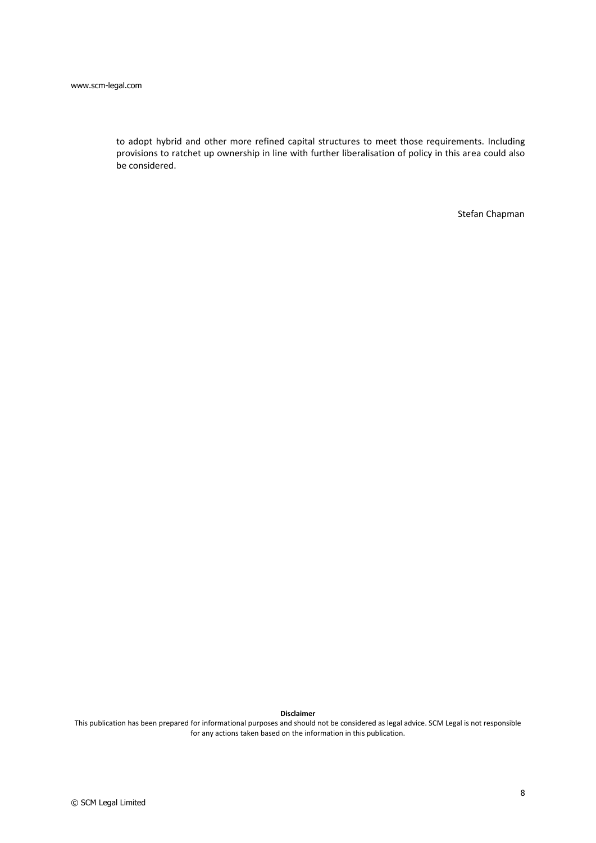to adopt hybrid and other more refined capital structures to meet those requirements. Including provisions to ratchet up ownership in line with further liberalisation of policy in this area could also be considered.

Stefan Chapman

#### **Disclaimer**

This publication has been prepared for informational purposes and should not be considered as legal advice. SCM Legal is not responsible for any actions taken based on the information in this publication.